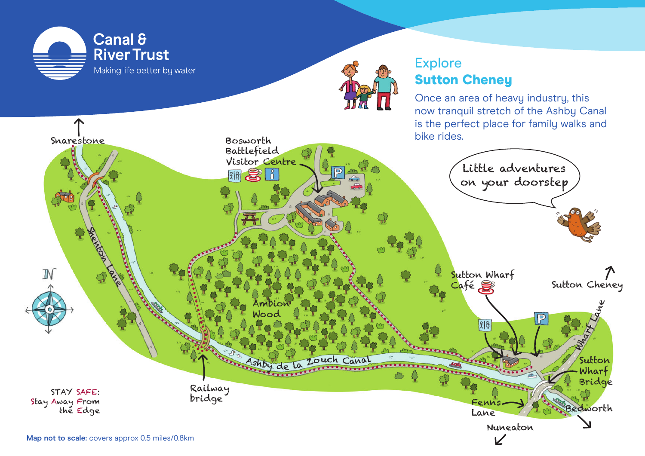



## **Explore** Sutton Cheney

Once an area of heavy industry, this now tranquil stretch of the Ashby Canal is the perfect place for family walks and